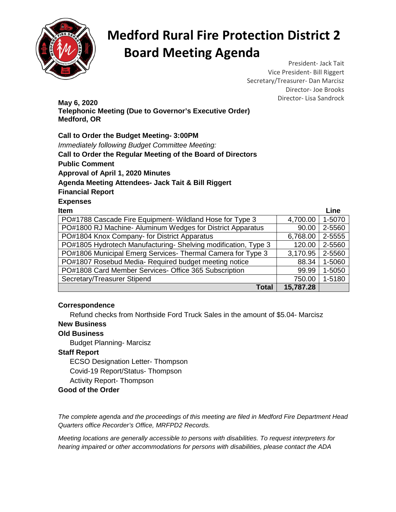

## **Medford Rural Fire Protection District 2 Board Meeting Agenda**

President- Jack Tait Vice President- Bill Riggert Secretary/Treasurer- Dan Marcisz Director- Joe Brooks

Director- Lisa Sandrock **May 6, 2020 Telephonic Meeting (Due to Governor's Executive Order) Medford, OR** 

**Call to Order the Budget Meeting- 3:00PM** 

Immediately following Budget Committee Meeting: **Call to Order the Regular Meeting of the Board of Directors Public Comment Approval of April 1, 2020 Minutes Agenda Meeting Attendees- Jack Tait & Bill Riggert Financial Report Expenses Item Line** that the contract of the contract of the contract of the contract of the contract of the contract of the contract of the contract of the contract of the contract of the contract of the contract of the contract

| PO#1788 Cascade Fire Equipment- Wildland Hose for Type 3      | 4,700.00  | 1-5070 |
|---------------------------------------------------------------|-----------|--------|
| PO#1800 RJ Machine- Aluminum Wedges for District Apparatus    | 90.00     | 2-5560 |
| PO#1804 Knox Company- for District Apparatus                  | 6,768.00  | 2-5555 |
| PO#1805 Hydrotech Manufacturing-Shelving modification, Type 3 | 120.00    | 2-5560 |
| PO#1806 Municipal Emerg Services- Thermal Camera for Type 3   | 3,170.95  | 2-5560 |
| PO#1807 Rosebud Media- Required budget meeting notice         | 88.34     | 1-5060 |
| PO#1808 Card Member Services- Office 365 Subscription         | 99.99     | 1-5050 |
| Secretary/Treasurer Stipend                                   | 750.00    | 1-5180 |
| Total                                                         | 15,787.28 |        |

### **Correspondence**

Refund checks from Northside Ford Truck Sales in the amount of \$5.04- Marcisz

### **New Business**

### **Old Business**

Budget Planning- Marcisz

#### **Staff Report**

ECSO Designation Letter- Thompson

Covid-19 Report/Status- Thompson

Activity Report- Thompson

### **Good of the Order**

The complete agenda and the proceedings of this meeting are filed in Medford Fire Department Head Quarters office Recorder's Office, MRFPD2 Records.

Meeting locations are generally accessible to persons with disabilities. To request interpreters for hearing impaired or other accommodations for persons with disabilities, please contact the ADA